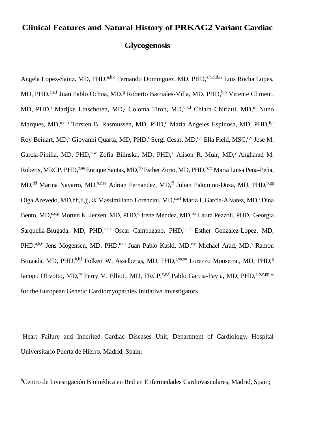# **Clinical Features and Natural History of PRKAG2 Variant Cardiac Glycogenosis**

Angela Lopez-Sainz, MD, PHD,<sup>a,b,c</sup> Fernando Dominguez, MD, PHD,<sup>a,b,c,d,\*</sup> Luis Rocha Lopes, MD, PHD,<sup>c,e,f</sup> Juan Pablo Ochoa, MD,<sup>g</sup> Roberto Barriales-Villa, MD, PHD,<sup>b,h</sup> Vicente Climent, MD, PHD,<sup>i</sup> Marijke Linschoten, MD,<sup>j</sup> Coloma Tiron, MD,<sup>b,k,l</sup> Chiara Chiriatti, MD,<sup>m</sup> Nuno Marques, MD,<sup>n,o,p</sup> Torsten B. Rasmussen, MD, PHD,<sup>q</sup> María Ángeles Espinosa, MD, PHD,<sup>b,r</sup> Roy Beinart, MD,<sup>s</sup> Giovanni Quarta, MD, PHD,<sup>t</sup> Sergi Cesar, MD,<sup>c,u</sup> Ella Field, MSC,<sup>c,v</sup> Jose M. Garcia-Pinilla, MD, PHD, $h, w$  Zofia Bilinska, MD, PHD, $x$  Alison R. Muir, MD, $y$  Angharad M. Roberts, MRCP, PHD,<sup>z,aa</sup> Enrique Santas, MD,<sup>bb</sup> Esther Zorio, MD, PHD,<sup>b,cc</sup> Maria Luisa Peña-Peña, MD,<sup>dd</sup> Marina Navarro, MD,<sup>b,c,ee</sup> Adrian Fernandez, MD,<sup>ff</sup> Julian Palomino-Doza, MD, PHD,<sup>b,gg</sup> Olga Azevedo, MD,hh,ii,jj,kk Massimiliano Lorenzini, MD, c,e,f Maria I. García-Álvarez, MD,<sup>i</sup> Dina Bento, MD,<sup>n,o,p</sup> Morten K. Jensen, MD, PHD,<sup>q</sup> Irene Méndez, MD,<sup>b,r</sup> Laura Pezzoli, PHD,<sup>t</sup> Georgia Sarquella-Brugada, MD, PHD,<sup>c,l,u</sup> Oscar Campuzano, PHD,<sup>b,l,ll</sup> Esther Gonzalez-Lopez, MD, PHD,<sup>a,b,c</sup> Jens Mogensen, MD, PHD,<sup>mm</sup> Juan Pablo Kaski, MD,<sup>c,v</sup> Michael Arad, MD,<sup>s</sup> Ramon Brugada, MD, PHD, $b,k,l$  Folkert W. Asselbergs, MD, PHD, $j,nn,oo$  Lorenzo Monserrat, MD, PHD, $g$ Iacopo Olivotto, MD,<sup>m</sup> Perry M. Elliott, MD, FRCP,<sup>c,e,f</sup> Pablo Garcia-Pavia, MD, PHD,<sup>a,b,c,pp,\*</sup> for the European Genetic Cardiomyopathies Initiative Investigators.

<sup>a</sup>Heart Failure and Inherited Cardiac Diseases Unit, Department of Cardiology, Hospital Universitario Puerta de Hierro, Madrid, Spain;

<sup>b</sup>Centro de Investigación Biomédica en Red en Enfermedades Cardiovasculares, Madrid, Spain;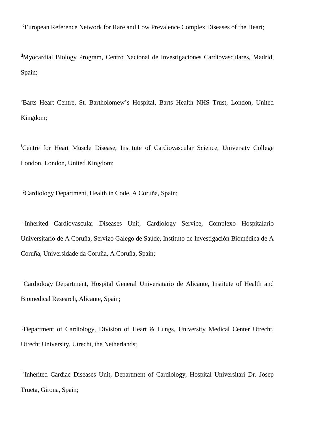<sup>c</sup>European Reference Network for Rare and Low Prevalence Complex Diseases of the Heart;

<sup>d</sup>Myocardial Biology Program, Centro Nacional de Investigaciones Cardiovasculares, Madrid, Spain;

<sup>e</sup>Barts Heart Centre, St. Bartholomew's Hospital, Barts Health NHS Trust, London, United Kingdom;

<sup>f</sup>Centre for Heart Muscle Disease, Institute of Cardiovascular Science, University College London, London, United Kingdom;

<sup>g</sup>Cardiology Department, Health in Code, A Coruña, Spain;

hInherited Cardiovascular Diseases Unit, Cardiology Service, Complexo Hospitalario Universitario de A Coruña, Servizo Galego de Saúde, Instituto de Investigación Biomédica de A Coruña, Universidade da Coruña, A Coruña, Spain;

<sup>i</sup>Cardiology Department, Hospital General Universitario de Alicante, Institute of Health and Biomedical Research, Alicante, Spain;

<sup>j</sup>Department of Cardiology, Division of Heart & Lungs, University Medical Center Utrecht, Utrecht University, Utrecht, the Netherlands;

k Inherited Cardiac Diseases Unit, Department of Cardiology, Hospital Universitari Dr. Josep Trueta, Girona, Spain;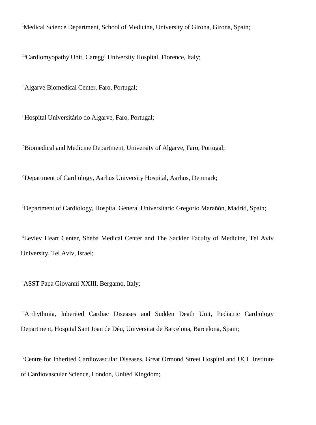<sup>1</sup>Medical Science Department, School of Medicine, University of Girona, Girona, Spain;

<sup>m</sup>Cardiomyopathy Unit, Careggi University Hospital, Florence, Italy;

<sup>n</sup>Algarve Biomedical Center, Faro, Portugal;

<sup>o</sup>Hospital Universitário do Algarve, Faro, Portugal;

PBiomedical and Medicine Department, University of Algarve, Faro, Portugal;

<sup>q</sup>Department of Cardiology, Aarhus University Hospital, Aarhus, Denmark;

<sup>r</sup>Department of Cardiology, Hospital General Universitario Gregorio Marañón, Madrid, Spain;

<sup>s</sup>Leviev Heart Center, Sheba Medical Center and The Sackler Faculty of Medicine, Tel Aviv University, Tel Aviv, Israel;

<sup>t</sup>ASST Papa Giovanni XXIII, Bergamo, Italy;

<sup>u</sup>Arrhythmia, Inherited Cardiac Diseases and Sudden Death Unit, Pediatric Cardiology Department, Hospital Sant Joan de Déu, Universitat de Barcelona, Barcelona, Spain;

<sup>v</sup>Centre for Inherited Cardiovascular Diseases, Great Ormond Street Hospital and UCL Institute of Cardiovascular Science, London, United Kingdom;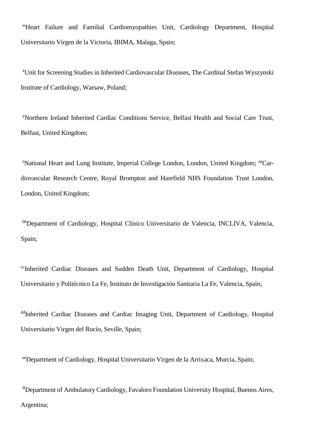<sup>w</sup>Heart Failure and Familial Cardiomyopathies Unit, Cardiology Department, Hospital Universitario Virgen de la Victoria, IBIMA, Malaga, Spain;

<sup>x</sup>Unit for Screening Studies in Inherited Cardiovascular Diseases, The Cardinal Stefan Wyszynski Institute of Cardiology, Warsaw, Poland;

<sup>y</sup>Northern Ireland Inherited Cardiac Conditions Service, Belfast Health and Social Care Trust, Belfast, United Kingdom;

<sup>z</sup>National Heart and Lung Institute, Imperial College London, London, United Kingdom; <sup>aa</sup>Cardiovascular Research Centre, Royal Brompton and Harefield NHS Foundation Trust London, London, United Kingdom;

bbDepartment of Cardiology, Hospital Clínico Universitario de Valencia, INCLIVA, Valencia, Spain;

ccInherited Cardiac Diseases and Sudden Death Unit, Department of Cardiology, Hospital Universitario y Politécnico La Fe, Instituto de Investigación Sanitaria La Fe, Valencia, Spain;

ddInherited Cardiac Diseases and Cardiac Imaging Unit, Department of Cardiology, Hospital Universitario Virgen del Rocío, Seville, Spain;

eeDepartment of Cardiology, Hospital Universitario Virgen de la Arrixaca, Murcia, Spain;

ffDepartment of Ambulatory Cardiology, Favaloro Foundation University Hospital, Buenos Aires, Argentina;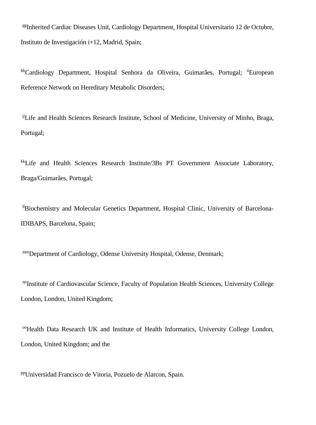<sup>gg</sup>Inherited Cardiac Diseases Unit, Cardiology Department, Hospital Universitario 12 de Octubre, Instituto de Investigación i+12, Madrid, Spain;

hhCardiology Department, Hospital Senhora da Oliveira, Guimarães, Portugal; <sup>ii</sup>European Reference Network on Hereditary Metabolic Disorders;

<sup>jj</sup>Life and Health Sciences Research Institute, School of Medicine, University of Minho, Braga, Portugal;

kkLife and Health Sciences Research Institute/3Bs PT Government Associate Laboratory, Braga/Guimarães, Portugal;

<sup>ll</sup>Biochemistry and Molecular Genetics Department, Hospital Clinic, University of Barcelona-IDIBAPS, Barcelona, Spain;

mmDepartment of Cardiology, Odense University Hospital, Odense, Denmark;

nnInstitute of Cardiovascular Science, Faculty of Population Health Sciences, University College London, London, United Kingdom;

<sup>oo</sup>Health Data Research UK and Institute of Health Informatics, University College London, London, United Kingdom; and the

ppUniversidad Francisco de Vitoria, Pozuelo de Alarcon, Spain.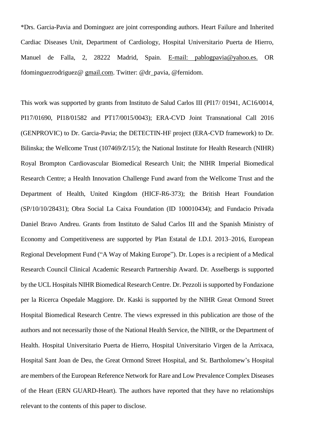\*Drs. Garcia-Pavia and Dominguez are joint corresponding authors. Heart Failure and Inherited Cardiac Diseases Unit, Department of Cardiology, Hospital Universitario Puerta de Hierro, Manuel de Falla, 2, 28222 Madrid, Spain. [E-mail: p](mailto:pablogpavia@yahoo.es.)ablogpavia@yahoo.es. OR fdominguezrodriguez@ [gmail.com.](http://gmail.com/) Twitter: @dr\_pavia, @fernidom.

This work was supported by grants from Instituto de Salud Carlos III (PI17/ 01941, AC16/0014, PI17/01690, PI18/01582 and PT17/0015/0043); ERA-CVD Joint Transnational Call 2016 (GENPROVIC) to Dr. Garcia-Pavia; the DETECTIN-HF project (ERA-CVD framework) to Dr. Bilinska; the Wellcome Trust (107469/Z/15/); the National Institute for Health Research (NIHR) Royal Brompton Cardiovascular Biomedical Research Unit; the NIHR Imperial Biomedical Research Centre; a Health Innovation Challenge Fund award from the Wellcome Trust and the Department of Health, United Kingdom (HICF-R6-373); the British Heart Foundation (SP/10/10/28431); Obra Social La Caixa Foundation (ID 100010434); and Fundacio Privada Daniel Bravo Andreu. Grants from Instituto de Salud Carlos III and the Spanish Ministry of Economy and Competitiveness are supported by Plan Estatal de I.D.I. 2013–2016, European Regional Development Fund ("A Way of Making Europe"). Dr. Lopes is a recipient of a Medical Research Council Clinical Academic Research Partnership Award. Dr. Asselbergs is supported by the UCL Hospitals NIHR Biomedical Research Centre. Dr. Pezzoli is supported by Fondazione per la Ricerca Ospedale Maggiore. Dr. Kaski is supported by the NIHR Great Ormond Street Hospital Biomedical Research Centre. The views expressed in this publication are those of the authors and not necessarily those of the National Health Service, the NIHR, or the Department of Health. Hospital Universitario Puerta de Hierro, Hospital Universitario Virgen de la Arrixaca, Hospital Sant Joan de Deu, the Great Ormond Street Hospital, and St. Bartholomew's Hospital are members of the European Reference Network for Rare and Low Prevalence Complex Diseases of the Heart (ERN GUARD-Heart). The authors have reported that they have no relationships relevant to the contents of this paper to disclose.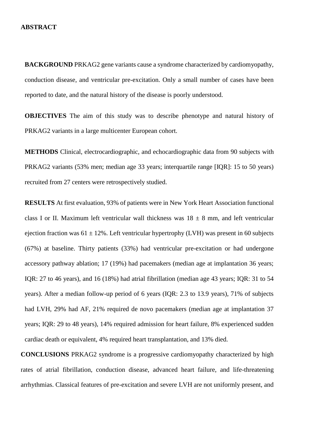**BACKGROUND** PRKAG2 gene variants cause a syndrome characterized by cardiomyopathy, conduction disease, and ventricular pre-excitation. Only a small number of cases have been reported to date, and the natural history of the disease is poorly understood.

**OBJECTIVES** The aim of this study was to describe phenotype and natural history of PRKAG2 variants in a large multicenter European cohort.

**METHODS** Clinical, electrocardiographic, and echocardiographic data from 90 subjects with PRKAG2 variants (53% men; median age 33 years; interquartile range [IQR]: 15 to 50 years) recruited from 27 centers were retrospectively studied.

**RESULTS** At first evaluation, 93% of patients were in New York Heart Association functional class I or II. Maximum left ventricular wall thickness was  $18 \pm 8$  mm, and left ventricular ejection fraction was  $61 \pm 12\%$ . Left ventricular hypertrophy (LVH) was present in 60 subjects (67%) at baseline. Thirty patients (33%) had ventricular pre-excitation or had undergone accessory pathway ablation; 17 (19%) had pacemakers (median age at implantation 36 years; IQR: 27 to 46 years), and 16 (18%) had atrial fibrillation (median age 43 years; IQR: 31 to 54 years). After a median follow-up period of 6 years (IQR: 2.3 to 13.9 years), 71% of subjects had LVH, 29% had AF, 21% required de novo pacemakers (median age at implantation 37 years; IQR: 29 to 48 years), 14% required admission for heart failure, 8% experienced sudden cardiac death or equivalent, 4% required heart transplantation, and 13% died.

**CONCLUSIONS** PRKAG2 syndrome is a progressive cardiomyopathy characterized by high rates of atrial fibrillation, conduction disease, advanced heart failure, and life-threatening arrhythmias. Classical features of pre-excitation and severe LVH are not uniformly present, and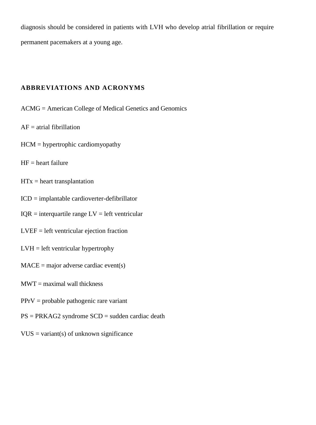diagnosis should be considered in patients with LVH who develop atrial fibrillation or require permanent pacemakers at a young age.

# **ABBREVIATIONS AND ACRONYMS**

- ACMG = American College of Medical Genetics and Genomics
- $AF =$ atrial fibrillation
- $HCM =$  hypertrophic cardiomyopathy
- $HF =$  heart failure
- $HTx =$  heart transplantation
- ICD = implantable cardioverter-defibrillator
- $IQR =$  interquartile range  $LV =$  left ventricular
- LVEF = left ventricular ejection fraction
- $LVH = left$  ventricular hypertrophy
- $MACE = major adverse cardiac event(s)$
- $MWT =$  maximal wall thickness
- PPrV = probable pathogenic rare variant
- PS = PRKAG2 syndrome SCD = sudden cardiac death
- $VUS = variant(s)$  of unknown significance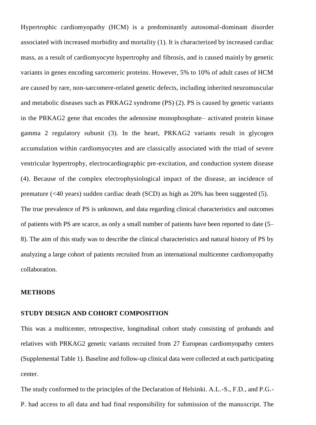Hypertrophic cardiomyopathy (HCM) is a predominantly autosomal-dominant disorder associated with increased morbidity and mortality (1). It is characterized by increased cardiac mass, as a result of cardiomyocyte hypertrophy and fibrosis, and is caused mainly by genetic variants in genes encoding sarcomeric proteins. However, 5% to 10% of adult cases of HCM are caused by rare, non-sarcomere-related genetic defects, including inherited neuromuscular and metabolic diseases such as PRKAG2 syndrome (PS) (2). PS is caused by genetic variants in the PRKAG2 gene that encodes the adenosine monophosphate– activated protein kinase gamma 2 regulatory subunit (3). In the heart, PRKAG2 variants result in glycogen accumulation within cardiomyocytes and are classically associated with the triad of severe ventricular hypertrophy, electrocardiographic pre-excitation, and conduction system disease (4). Because of the complex electrophysiological impact of the disease, an incidence of premature (<40 years) sudden cardiac death (SCD) as high as 20% has been suggested (5). The true prevalence of PS is unknown, and data regarding clinical characteristics and outcomes of patients with PS are scarce, as only a small number of patients have been reported to date (5– 8). The aim of this study was to describe the clinical characteristics and natural history of PS by analyzing a large cohort of patients recruited from an international multicenter cardiomyopathy collaboration.

### **METHODS**

#### **STUDY DESIGN AND COHORT COMPOSITION**

This was a multicenter, retrospective, longitudinal cohort study consisting of probands and relatives with PRKAG2 genetic variants recruited from 27 European cardiomyopathy centers (Supplemental Table 1). Baseline and follow-up clinical data were collected at each participating center.

The study conformed to the principles of the Declaration of Helsinki. A.L.-S., F.D., and P.G.- P. had access to all data and had final responsibility for submission of the manuscript. The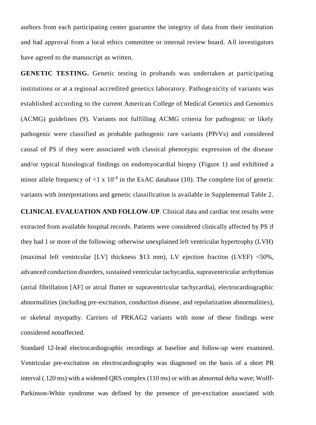authors from each participating center guarantee the integrity of data from their institution and had approval from a local ethics committee or internal review board. All investigators have agreed to the manuscript as written.

**GENETIC TESTING.** Genetic testing in probands was undertaken at participating institutions or at a regional accredited genetics laboratory. Pathogenicity of variants was established according to the current American College of Medical Genetics and Genomics (ACMG) guidelines (9). Variants not fulfilling ACMG criteria for pathogenic or likely pathogenic were classified as probable pathogenic rare variants (PPrVs) and considered causal of PS if they were associated with classical phenotypic expression of the disease and/or typical histological findings on endomyocardial biopsy (Figure 1) and exhibited a minor allele frequency of  $\langle 1 \times 10^{-4} \rangle$  in the ExAC database (10). The complete list of genetic variants with interpretations and genetic classification is available in Supplemental Table 2.

**CLINICAL EVALUATION AND FOLLOW-UP**. Clinical data and cardiac test results were extracted from available hospital records. Patients were considered clinically affected by PS if they had 1 or more of the following: otherwise unexplained left ventricular hypertrophy (LVH) (maximal left ventricular [LV] thickness \$13 mm), LV ejection fraction (LVEF) <50%, advanced conduction disorders, sustained ventricular tachycardia, supraventricular arrhythmias (atrial fibrillation [AF] or atrial flutter or supraventricular tachycardia), electrocardiographic abnormalities (including pre-excitation, conduction disease, and repolarization abnormalities), or skeletal myopathy. Carriers of PRKAG2 variants with none of these findings were considered nonaffected.

Standard 12-lead electrocardiographic recordings at baseline and follow-up were examined. Ventricular pre-excitation on electrocardiography was diagnosed on the basis of a short PR interval (.120 ms) with a widened QRS complex (110 ms) or with an abnormal delta wave; Wolff-Parkinson-White syndrome was defined by the presence of pre-excitation associated with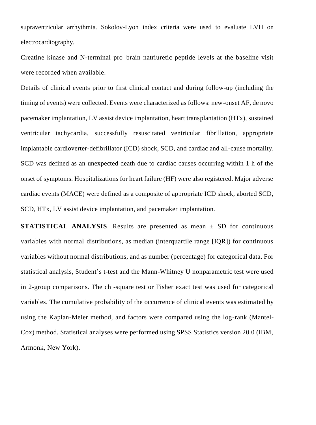supraventricular arrhythmia. Sokolov-Lyon index criteria were used to evaluate LVH on electrocardiography.

Creatine kinase and N-terminal pro–brain natriuretic peptide levels at the baseline visit were recorded when available.

Details of clinical events prior to first clinical contact and during follow-up (including the timing of events) were collected. Events were characterized as follows: new-onset AF, de novo pacemaker implantation, LV assist device implantation, heart transplantation (HTx), sustained ventricular tachycardia, successfully resuscitated ventricular fibrillation, appropriate implantable cardioverter-defibrillator (ICD) shock, SCD, and cardiac and all-cause mortality. SCD was defined as an unexpected death due to cardiac causes occurring within 1 h of the onset of symptoms. Hospitalizations for heart failure (HF) were also registered. Major adverse cardiac events (MACE) were defined as a composite of appropriate ICD shock, aborted SCD, SCD, HTx, LV assist device implantation, and pacemaker implantation.

**STATISTICAL ANALYSIS.** Results are presented as mean  $\pm$  SD for continuous variables with normal distributions, as median (interquartile range [IQR]) for continuous variables without normal distributions, and as number (percentage) for categorical data. For statistical analysis, Student's t-test and the Mann-Whitney U nonparametric test were used in 2-group comparisons. The chi-square test or Fisher exact test was used for categorical variables. The cumulative probability of the occurrence of clinical events was estimated by using the Kaplan-Meier method, and factors were compared using the log-rank (Mantel-Cox) method. Statistical analyses were performed using SPSS Statistics version 20.0 (IBM, Armonk, New York).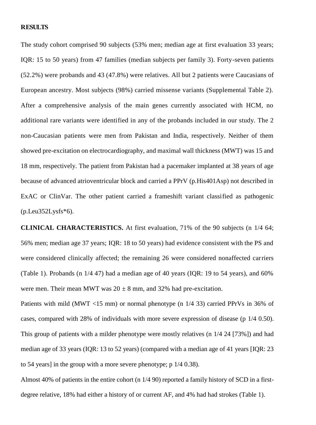#### **RESULTS**

The study cohort comprised 90 subjects (53% men; median age at first evaluation 33 years; IQR: 15 to 50 years) from 47 families (median subjects per family 3). Forty-seven patients (52.2%) were probands and 43 (47.8%) were relatives. All but 2 patients were Caucasians of European ancestry. Most subjects (98%) carried missense variants (Supplemental Table 2). After a comprehensive analysis of the main genes currently associated with HCM, no additional rare variants were identified in any of the probands included in our study. The 2 non-Caucasian patients were men from Pakistan and India, respectively. Neither of them showed pre-excitation on electrocardiography, and maximal wall thickness (MWT) was 15 and 18 mm, respectively. The patient from Pakistan had a pacemaker implanted at 38 years of age because of advanced atrioventricular block and carried a PPrV (p.His401Asp) not described in ExAC or ClinVar. The other patient carried a frameshift variant classified as pathogenic  $(p. Leu352Lysfs*6).$ 

**CLINICAL CHARACTERISTICS.** At first evaluation, 71% of the 90 subjects (n 1/4 64; 56% men; median age 37 years; IQR: 18 to 50 years) had evidence consistent with the PS and were considered clinically affected; the remaining 26 were considered nonaffected carriers (Table 1). Probands (n 1/4 47) had a median age of 40 years (IQR: 19 to 54 years), and 60% were men. Their mean MWT was  $20 \pm 8$  mm, and 32% had pre-excitation.

Patients with mild (MWT <15 mm) or normal phenotype (n 1/4 33) carried PPrVs in 36% of cases, compared with 28% of individuals with more severe expression of disease (p 1/4 0.50). This group of patients with a milder phenotype were mostly relatives (n 1/4 24 [73%]) and had median age of 33 years (IQR: 13 to 52 years) (compared with a median age of 41 years [IQR: 23 to 54 years] in the group with a more severe phenotype; p 1/4 0.38).

Almost 40% of patients in the entire cohort (n 1/4 90) reported a family history of SCD in a firstdegree relative, 18% had either a history of or current AF, and 4% had had strokes (Table 1).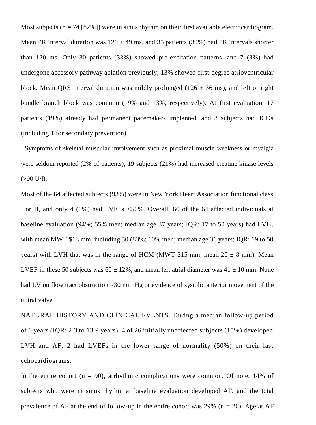Most subjects ( $n = 74$  [82%]) were in sinus rhythm on their first available electrocardiogram. Mean PR interval duration was  $120 \pm 49$  ms, and 35 patients (39%) had PR intervals shorter than 120 ms. Only 30 patients (33%) showed pre-excitation patterns, and 7 (8%) had undergone accessory pathway ablation previously; 13% showed first-degree atrioventricular block. Mean QRS interval duration was mildly prolonged ( $126 \pm 36$  ms), and left or right bundle branch block was common (19% and 13%, respectively). At first evaluation, 17 patients (19%) already had permanent pacemakers implanted, and 3 subjects had ICDs (including 1 for secondary prevention).

Symptoms of skeletal muscular involvement such as proximal muscle weakness or myalgia were seldom reported (2% of patients); 19 subjects (21%) had increased creatine kinase levels  $(>90 \text{ U/l}).$ 

Most of the 64 affected subjects (93%) were in New York Heart Association functional class I or II, and only 4 (6%) had LVEFs <50%. Overall, 60 of the 64 affected individuals at baseline evaluation (94%; 55% men; median age 37 years; IQR: 17 to 50 years) had LVH, with mean MWT \$13 mm, including 50 (83%; 60% men; median age 36 years; IQR: 19 to 50 years) with LVH that was in the range of HCM (MWT \$15 mm, mean  $20 \pm 8$  mm). Mean LVEF in these 50 subjects was  $60 \pm 12\%$ , and mean left atrial diameter was  $41 \pm 10$  mm. None had LV outflow tract obstruction >30 mm Hg or evidence of systolic anterior movement of the mitral valve.

NATURAL HISTORY AND CLINICAL EVENTS. During a median follow-up period of 6 years (IQR: 2.3 to 13.9 years), 4 of 26 initially unaffected subjects (15%) developed LVH and AF; 2 had LVEFs in the lower range of normality (50%) on their last echocardiograms.

In the entire cohort ( $n = 90$ ), arrhythmic complications were common. Of note, 14% of subjects who were in sinus rhythm at baseline evaluation developed AF, and the total prevalence of AF at the end of follow-up in the entire cohort was 29% ( $n = 26$ ). Age at AF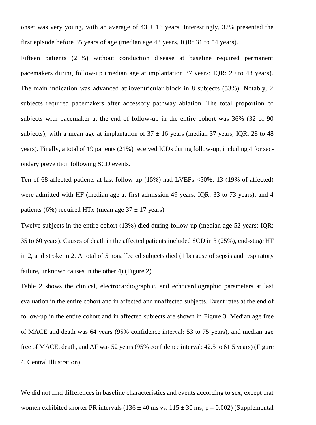onset was very young, with an average of  $43 \pm 16$  years. Interestingly, 32% presented the first episode before 35 years of age (median age 43 years, IQR: 31 to 54 years).

Fifteen patients (21%) without conduction disease at baseline required permanent pacemakers during follow-up (median age at implantation 37 years; IQR: 29 to 48 years). The main indication was advanced atrioventricular block in 8 subjects (53%). Notably, 2 subjects required pacemakers after accessory pathway ablation. The total proportion of subjects with pacemaker at the end of follow-up in the entire cohort was 36% (32 of 90 subjects), with a mean age at implantation of  $37 \pm 16$  years (median 37 years; IQR: 28 to 48 years). Finally, a total of 19 patients (21%) received ICDs during follow-up, including 4 for secondary prevention following SCD events.

Ten of 68 affected patients at last follow-up (15%) had LVEFs <50%; 13 (19% of affected) were admitted with HF (median age at first admission 49 years; IQR: 33 to 73 years), and 4 patients (6%) required HTx (mean age  $37 \pm 17$  years).

Twelve subjects in the entire cohort (13%) died during follow-up (median age 52 years; IQR: 35 to 60 years). Causes of death in the affected patients included SCD in 3 (25%), end-stage HF in 2, and stroke in 2. A total of 5 nonaffected subjects died (1 because of sepsis and respiratory failure, unknown causes in the other 4) (Figure 2).

Table 2 shows the clinical, electrocardiographic, and echocardiographic parameters at last evaluation in the entire cohort and in affected and unaffected subjects. Event rates at the end of follow-up in the entire cohort and in affected subjects are shown in Figure 3. Median age free of MACE and death was 64 years (95% confidence interval: 53 to 75 years), and median age free of MACE, death, and AF was 52 years (95% confidence interval: 42.5 to 61.5 years) (Figure 4, Central Illustration).

We did not find differences in baseline characteristics and events according to sex, except that women exhibited shorter PR intervals ( $136 \pm 40$  ms vs.  $115 \pm 30$  ms; p = 0.002) (Supplemental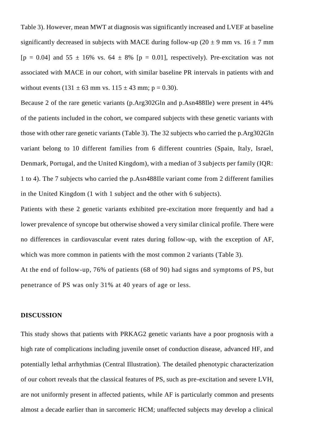Table 3). However, mean MWT at diagnosis was significantly increased and LVEF at baseline significantly decreased in subjects with MACE during follow-up (20  $\pm$  9 mm vs. 16  $\pm$  7 mm  $[p = 0.04]$  and 55  $\pm$  16% vs. 64  $\pm$  8%  $[p = 0.01]$ , respectively). Pre-excitation was not associated with MACE in our cohort, with similar baseline PR intervals in patients with and without events  $(131 \pm 63 \text{ mm} \text{ vs. } 115 \pm 43 \text{ mm}; \text{ p} = 0.30)$ .

Because 2 of the rare genetic variants (p.Arg302Gln and p.Asn488Ile) were present in 44% of the patients included in the cohort, we compared subjects with these genetic variants with those with other rare genetic variants (Table 3). The 32 subjects who carried the p.Arg302Gln variant belong to 10 different families from 6 different countries (Spain, Italy, Israel, Denmark, Portugal, and the United Kingdom), with a median of 3 subjects per family (IQR: 1 to 4). The 7 subjects who carried the p.Asn488Ile variant come from 2 different families in the United Kingdom (1 with 1 subject and the other with 6 subjects).

Patients with these 2 genetic variants exhibited pre-excitation more frequently and had a lower prevalence of syncope but otherwise showed a very similar clinical profile. There were no differences in cardiovascular event rates during follow-up, with the exception of AF, which was more common in patients with the most common 2 variants (Table 3).

At the end of follow-up, 76% of patients (68 of 90) had signs and symptoms of PS, but penetrance of PS was only 31% at 40 years of age or less.

#### **DISCUSSION**

This study shows that patients with PRKAG2 genetic variants have a poor prognosis with a high rate of complications including juvenile onset of conduction disease, advanced HF, and potentially lethal arrhythmias (Central Illustration). The detailed phenotypic characterization of our cohort reveals that the classical features of PS, such as pre-excitation and severe LVH, are not uniformly present in affected patients, while AF is particularly common and presents almost a decade earlier than in sarcomeric HCM; unaffected subjects may develop a clinical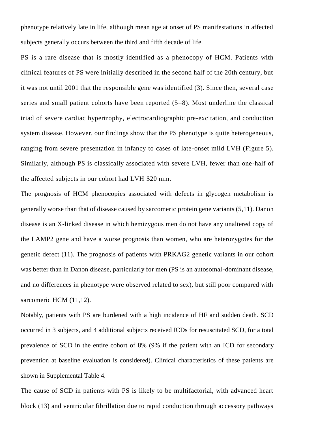phenotype relatively late in life, although mean age at onset of PS manifestations in affected subjects generally occurs between the third and fifth decade of life.

PS is a rare disease that is mostly identified as a phenocopy of HCM. Patients with clinical features of PS were initially described in the second half of the 20th century, but it was not until 2001 that the responsible gene was identified (3). Since then, several case series and small patient cohorts have been reported (5–8). Most underline the classical triad of severe cardiac hypertrophy, electrocardiographic pre-excitation, and conduction system disease. However, our findings show that the PS phenotype is quite heterogeneous, ranging from severe presentation in infancy to cases of late-onset mild LVH (Figure 5). Similarly, although PS is classically associated with severe LVH, fewer than one-half of the affected subjects in our cohort had LVH \$20 mm.

The prognosis of HCM phenocopies associated with defects in glycogen metabolism is generally worse than that of disease caused by sarcomeric protein gene variants (5,11). Danon disease is an X-linked disease in which hemizygous men do not have any unaltered copy of the LAMP2 gene and have a worse prognosis than women, who are heterozygotes for the genetic defect (11). The prognosis of patients with PRKAG2 genetic variants in our cohort was better than in Danon disease, particularly for men (PS is an autosomal-dominant disease, and no differences in phenotype were observed related to sex), but still poor compared with sarcomeric HCM (11,12).

Notably, patients with PS are burdened with a high incidence of HF and sudden death. SCD occurred in 3 subjects, and 4 additional subjects received ICDs for resuscitated SCD, for a total prevalence of SCD in the entire cohort of 8% (9% if the patient with an ICD for secondary prevention at baseline evaluation is considered). Clinical characteristics of these patients are shown in Supplemental Table 4.

The cause of SCD in patients with PS is likely to be multifactorial, with advanced heart block (13) and ventricular fibrillation due to rapid conduction through accessory pathways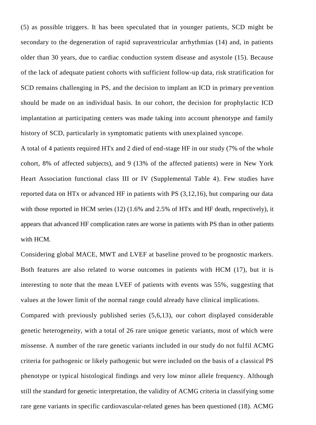(5) as possible triggers. It has been speculated that in younger patients, SCD might be secondary to the degeneration of rapid supraventricular arrhythmias (14) and, in patients older than 30 years, due to cardiac conduction system disease and asystole (15). Because of the lack of adequate patient cohorts with sufficient follow-up data, risk stratification for SCD remains challenging in PS, and the decision to implant an ICD in primary prevention should be made on an individual basis. In our cohort, the decision for prophylactic ICD implantation at participating centers was made taking into account phenotype and family history of SCD, particularly in symptomatic patients with unexplained syncope.

A total of 4 patients required HTx and 2 died of end-stage HF in our study (7% of the whole cohort, 8% of affected subjects), and 9 (13% of the affected patients) were in New York Heart Association functional class III or IV (Supplemental Table 4). Few studies have reported data on HTx or advanced HF in patients with PS (3,12,16), but comparing our data with those reported in HCM series (12) (1.6% and 2.5% of HTx and HF death, respectively), it appears that advanced HF complication rates are worse in patients with PS than in other patients with HCM.

Considering global MACE, MWT and LVEF at baseline proved to be prognostic markers. Both features are also related to worse outcomes in patients with HCM (17), but it is interesting to note that the mean LVEF of patients with events was 55%, suggesting that values at the lower limit of the normal range could already have clinical implications.

Compared with previously published series (5,6,13), our cohort displayed considerable genetic heterogeneity, with a total of 26 rare unique genetic variants, most of which were missense. A number of the rare genetic variants included in our study do not fulfil ACMG criteria for pathogenic or likely pathogenic but were included on the basis of a classical PS phenotype or typical histological findings and very low minor allele frequency. Although still the standard for genetic interpretation, the validity of ACMG criteria in classifying some rare gene variants in specific cardiovascular-related genes has been questioned (18). ACMG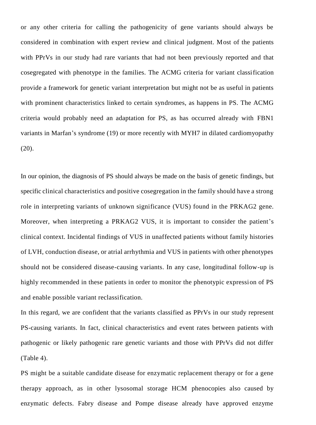or any other criteria for calling the pathogenicity of gene variants should always be considered in combination with expert review and clinical judgment. Most of the patients with PPrVs in our study had rare variants that had not been previously reported and that cosegregated with phenotype in the families. The ACMG criteria for variant classification provide a framework for genetic variant interpretation but might not be as useful in patients with prominent characteristics linked to certain syndromes, as happens in PS. The ACMG criteria would probably need an adaptation for PS, as has occurred already with FBN1 variants in Marfan's syndrome (19) or more recently with MYH7 in dilated cardiomyopathy  $(20)$ .

In our opinion, the diagnosis of PS should always be made on the basis of genetic findings, but specific clinical characteristics and positive cosegregation in the family should have a strong role in interpreting variants of unknown significance (VUS) found in the PRKAG2 gene. Moreover, when interpreting a PRKAG2 VUS, it is important to consider the patient's clinical context. Incidental findings of VUS in unaffected patients without family histories of LVH, conduction disease, or atrial arrhythmia and VUS in patients with other phenotypes should not be considered disease-causing variants. In any case, longitudinal follow-up is highly recommended in these patients in order to monitor the phenotypic expression of PS and enable possible variant reclassification.

In this regard, we are confident that the variants classified as PPrVs in our study represent PS-causing variants. In fact, clinical characteristics and event rates between patients with pathogenic or likely pathogenic rare genetic variants and those with PPrVs did not differ (Table 4).

PS might be a suitable candidate disease for enzymatic replacement therapy or for a gene therapy approach, as in other lysosomal storage HCM phenocopies also caused by enzymatic defects. Fabry disease and Pompe disease already have approved enzyme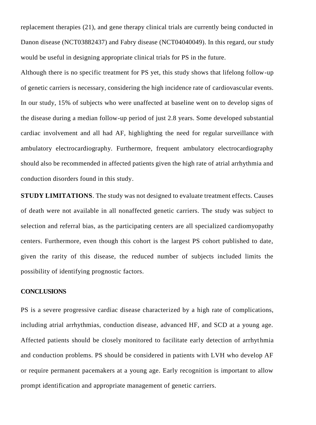replacement therapies (21), and gene therapy clinical trials are currently being conducted in Danon disease (NCT03882437) and Fabry disease (NCT04040049). In this regard, our study would be useful in designing appropriate clinical trials for PS in the future.

Although there is no specific treatment for PS yet, this study shows that lifelong follow-up of genetic carriers is necessary, considering the high incidence rate of cardiovascular events. In our study, 15% of subjects who were unaffected at baseline went on to develop signs of the disease during a median follow-up period of just 2.8 years. Some developed substantial cardiac involvement and all had AF, highlighting the need for regular surveillance with ambulatory electrocardiography. Furthermore, frequent ambulatory electrocardiography should also be recommended in affected patients given the high rate of atrial arrhythmia and conduction disorders found in this study.

**STUDY LIMITATIONS**. The study was not designed to evaluate treatment effects. Causes of death were not available in all nonaffected genetic carriers. The study was subject to selection and referral bias, as the participating centers are all specialized cardiomyopathy centers. Furthermore, even though this cohort is the largest PS cohort published to date, given the rarity of this disease, the reduced number of subjects included limits the possibility of identifying prognostic factors.

## **CONCLUSIONS**

PS is a severe progressive cardiac disease characterized by a high rate of complications, including atrial arrhythmias, conduction disease, advanced HF, and SCD at a young age. Affected patients should be closely monitored to facilitate early detection of arrhythmia and conduction problems. PS should be considered in patients with LVH who develop AF or require permanent pacemakers at a young age. Early recognition is important to allow prompt identification and appropriate management of genetic carriers.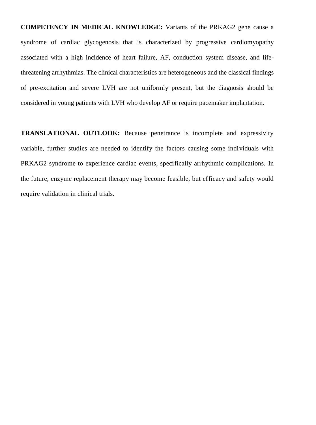**COMPETENCY IN MEDICAL KNOWLEDGE:** Variants of the PRKAG2 gene cause a syndrome of cardiac glycogenosis that is characterized by progressive cardiomyopathy associated with a high incidence of heart failure, AF, conduction system disease, and lifethreatening arrhythmias. The clinical characteristics are heterogeneous and the classical findings of pre-excitation and severe LVH are not uniformly present, but the diagnosis should be considered in young patients with LVH who develop AF or require pacemaker implantation.

**TRANSLATIONAL OUTLOOK:** Because penetrance is incomplete and expressivity variable, further studies are needed to identify the factors causing some individuals with PRKAG2 syndrome to experience cardiac events, specifically arrhythmic complications. In the future, enzyme replacement therapy may become feasible, but efficacy and safety would require validation in clinical trials.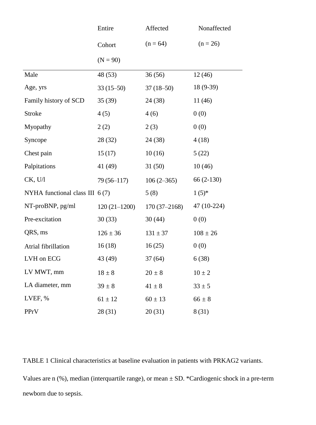|                                  | Entire         | Affected       | Nonaffected  |
|----------------------------------|----------------|----------------|--------------|
|                                  | Cohort         | $(n = 64)$     | $(n = 26)$   |
|                                  | $(N = 90)$     |                |              |
| Male                             | 48 (53)        | 36(56)         | 12(46)       |
| Age, yrs                         | $33(15-50)$    | $37(18-50)$    | $18(9-39)$   |
| Family history of SCD            | 35 (39)        | 24 (38)        | 11(46)       |
| <b>Stroke</b>                    | 4(5)           | 4(6)           | 0(0)         |
| Myopathy                         | 2(2)           | 2(3)           | 0(0)         |
| Syncope                          | 28 (32)        | 24 (38)        | 4(18)        |
| Chest pain                       | 15(17)         | 10(16)         | 5(22)        |
| Palpitations                     | 41 (49)        | 31(50)         | 10(46)       |
| CK, U/l                          | $79(56-117)$   | $106(2-365)$   | $66(2-130)$  |
| NYHA functional class III $6(7)$ |                | 5(8)           | $1(5)^{*}$   |
| $NT$ -pro $BNP$ , pg/ml          | $120(21-1200)$ | $170(37-2168)$ | 47 (10-224)  |
| Pre-excitation                   | 30(33)         | 30(44)         | 0(0)         |
| QRS, ms                          | $126 \pm 36$   | $131 \pm 37$   | $108 \pm 26$ |
| Atrial fibrillation              | 16(18)         | 16(25)         | 0(0)         |
| LVH on ECG                       | 43 (49)        | 37(64)         | 6(38)        |
| LV MWT, mm                       | $18 \pm 8$     | $20 \pm 8$     | $10 \pm 2$   |
| LA diameter, mm                  | $39 \pm 8$     | $41 \pm 8$     | $33 \pm 5$   |
| LVEF, %                          | $61 \pm 12$    | $60 \pm 13$    | $66 \pm 8$   |
| <b>PPrV</b>                      | 28 (31)        | 20(31)         | 8 (31)       |

TABLE 1 Clinical characteristics at baseline evaluation in patients with PRKAG2 variants. Values are n  $(\%)$ , median (interquartile range), or mean  $\pm$  SD. \*Cardiogenic shock in a pre-term newborn due to sepsis.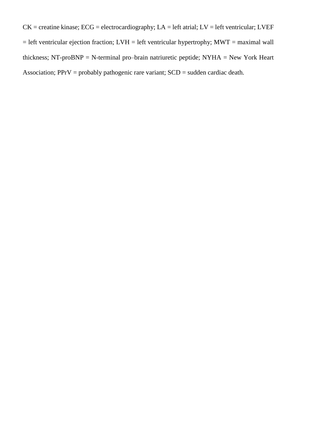$CK =$  creatine kinase;  $ECG =$  electrocardiography;  $LA =$  left atrial;  $LV =$  left ventricular; LVEF  $=$  left ventricular ejection fraction; LVH  $=$  left ventricular hypertrophy; MWT  $=$  maximal wall thickness; NT-proBNP = N-terminal pro–brain natriuretic peptide; NYHA = New York Heart Association; PPrV = probably pathogenic rare variant; SCD = sudden cardiac death.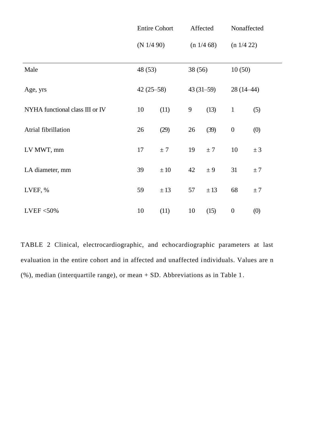|                                 | <b>Entire Cohort</b> |      | Affected             |         | Nonaffected      |         |
|---------------------------------|----------------------|------|----------------------|---------|------------------|---------|
|                                 | (N 1/4 90)           |      | $(n \frac{1}{4} 68)$ |         | (n 1/4 22)       |         |
| Male                            | 48 (53)              |      | 38 (56)              |         | 10(50)           |         |
| Age, yrs                        | $42(25-58)$          |      | $43(31-59)$          |         | $28(14-44)$      |         |
| NYHA functional class III or IV | 10                   | (11) | $\mathbf{9}$         | (13)    | $\mathbf{1}$     | (5)     |
| Atrial fibrillation             | 26                   | (29) | 26                   | (39)    | $\boldsymbol{0}$ | (0)     |
| LV MWT, mm                      | 17                   | ± 7  | 19                   | ±7      | 10               | $\pm 3$ |
| LA diameter, mm                 | 39                   | ±10  | 42                   | $\pm 9$ | 31               | ±7      |
| LVEF, %                         | 59                   | ± 13 | 57                   | ±13     | 68               | ±7      |
| LVEF $<$ 50%                    | 10                   | (11) | 10                   | (15)    | $\boldsymbol{0}$ | (0)     |

TABLE 2 Clinical, electrocardiographic, and echocardiographic parameters at last evaluation in the entire cohort and in affected and unaffected individuals. Values are n (%), median (interquartile range), or mean + SD. Abbreviations as in Table 1.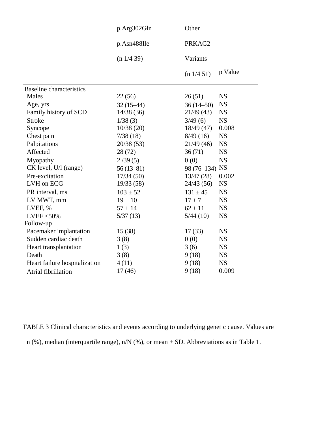|                                 | p.Arg302Gln    | Other          |           |  |
|---------------------------------|----------------|----------------|-----------|--|
|                                 | $p.Asn488$ Ile | PRKAG2         |           |  |
|                                 | (n 1/4 39)     | Variants       |           |  |
|                                 |                | (n 1/4 51)     | p Value   |  |
| <b>Baseline</b> characteristics |                |                |           |  |
| Males                           | 22(56)         | 26(51)         | <b>NS</b> |  |
| Age, yrs                        | $32(15-44)$    | $36(14-50)$    | <b>NS</b> |  |
| Family history of SCD           | 14/38(36)      | 21/49(43)      | <b>NS</b> |  |
| <b>Stroke</b>                   | 1/38(3)        | 3/49(6)        | <b>NS</b> |  |
| Syncope                         | 10/38(20)      | 18/49(47)      | 0.008     |  |
| Chest pain                      | 7/38(18)       | 8/49(16)       | <b>NS</b> |  |
| Palpitations                    | 20/38(53)      | 21/49(46)      | <b>NS</b> |  |
| Affected                        | 28(72)         | 36(71)         | <b>NS</b> |  |
| Myopathy                        | 2/39(5)        | 0(0)           | <b>NS</b> |  |
| CK level, U/l (range)           | $56(13-81)$    | 98 (76–134) NS |           |  |
| Pre-excitation                  | 17/34(50)      | 13/47(28)      | 0.002     |  |
| LVH on ECG                      | 19/33(58)      | 24/43(56)      | <b>NS</b> |  |
| PR interval, ms                 | $103 \pm 52$   | $131 \pm 45$   | <b>NS</b> |  |
| LV MWT, mm                      | $19 \pm 10$    | $17 \pm 7$     | <b>NS</b> |  |
| LVEF, %                         | $57 \pm 14$    | $62 \pm 11$    | <b>NS</b> |  |
| $LVEF < 50\%$                   | 5/37(13)       | 5/44(10)       | <b>NS</b> |  |
| Follow-up                       |                |                |           |  |
| Pacemaker implantation          | 15(38)         | 17(33)         | <b>NS</b> |  |
| Sudden cardiac death            | 3(8)           | 0(0)           | <b>NS</b> |  |
| Heart transplantation           | 1(3)           | 3(6)           | <b>NS</b> |  |
| Death                           | 3(8)           | 9(18)          | <b>NS</b> |  |
| Heart failure hospitalization   | 4(11)          | 9(18)          | <b>NS</b> |  |
| Atrial fibrillation             | 17(46)         | 9(18)          | 0.009     |  |

TABLE 3 Clinical characteristics and events according to underlying genetic cause. Values are n (%), median (interquartile range), n/N (%), or mean + SD. Abbreviations as in Table 1.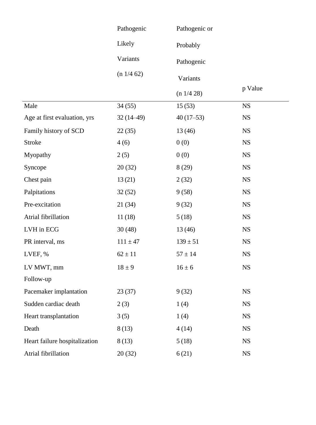|                               | Pathogenic   | Pathogenic or |            |
|-------------------------------|--------------|---------------|------------|
|                               | Likely       | Probably      |            |
|                               | Variants     | Pathogenic    |            |
|                               | (n 1/4 62)   | Variants      |            |
|                               |              | (n 1/4 28)    | p Value    |
| Male                          | 34(55)       | 15(53)        | <b>NS</b>  |
| Age at first evaluation, yrs  | $32(14-49)$  | $40(17-53)$   | <b>NS</b>  |
| Family history of SCD         | 22(35)       | 13(46)        | <b>NS</b>  |
| <b>Stroke</b>                 | 4(6)         | 0(0)          | <b>NS</b>  |
| Myopathy                      | 2(5)         | 0(0)          | NS         |
| Syncope                       | 20(32)       | 8(29)         | NS         |
| Chest pain                    | 13(21)       | 2(32)         | NS         |
| Palpitations                  | 32(52)       | 9(58)         | <b>NS</b>  |
| Pre-excitation                | 21(34)       | 9(32)         | NS         |
| Atrial fibrillation           | 11(18)       | 5(18)         | <b>NS</b>  |
| LVH in ECG                    | 30(48)       | 13(46)        | <b>NS</b>  |
| PR interval, ms               | $111 \pm 47$ | $139 \pm 51$  | <b>NS</b>  |
| LVEF, %                       | $62 \pm 11$  | $57 \pm 14$   | <b>NS</b>  |
| LV MWT, mm                    | $18 \pm 9$   | $16 \pm 6$    | ${\rm NS}$ |
| Follow-up                     |              |               |            |
| Pacemaker implantation        | 23(37)       | 9(32)         | <b>NS</b>  |
| Sudden cardiac death          | 2(3)         | 1(4)          | <b>NS</b>  |
| Heart transplantation         | 3(5)         | 1(4)          | NS         |
| Death                         | 8(13)        | 4(14)         | <b>NS</b>  |
| Heart failure hospitalization | 8(13)        | 5(18)         | <b>NS</b>  |
| Atrial fibrillation           | 20(32)       | 6(21)         | NS         |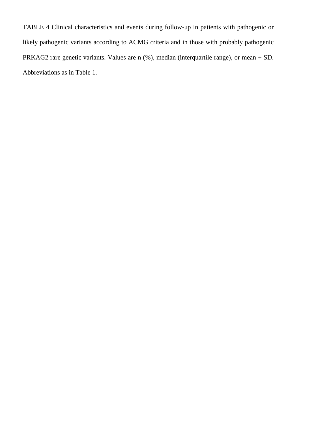TABLE 4 Clinical characteristics and events during follow-up in patients with pathogenic or likely pathogenic variants according to ACMG criteria and in those with probably pathogenic PRKAG2 rare genetic variants. Values are n (%), median (interquartile range), or mean + SD. Abbreviations as in Table 1.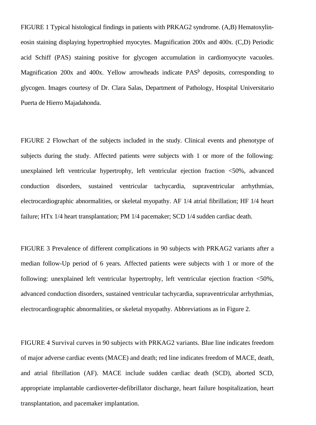FIGURE 1 Typical histological findings in patients with PRKAG2 syndrome. (A,B) Hematoxylineosin staining displaying hypertrophied myocytes. Magnification 200x and 400x. (C,D) Periodic acid Schiff (PAS) staining positive for glycogen accumulation in cardiomyocyte vacuoles. Magnification 200x and 400x. Yellow arrowheads indicate  $PAS<sup>b</sup>$  deposits, corresponding to glycogen. Images courtesy of Dr. Clara Salas, Department of Pathology, Hospital Universitario Puerta de Hierro Majadahonda.

FIGURE 2 Flowchart of the subjects included in the study. Clinical events and phenotype of subjects during the study. Affected patients were subjects with 1 or more of the following: unexplained left ventricular hypertrophy, left ventricular ejection fraction <50%, advanced conduction disorders, sustained ventricular tachycardia, supraventricular arrhythmias, electrocardiographic abnormalities, or skeletal myopathy. AF 1/4 atrial fibrillation; HF 1/4 heart failure; HTx 1/4 heart transplantation; PM 1/4 pacemaker; SCD 1/4 sudden cardiac death.

FIGURE 3 Prevalence of different complications in 90 subjects with PRKAG2 variants after a median follow-Up period of 6 years. Affected patients were subjects with 1 or more of the following: unexplained left ventricular hypertrophy, left ventricular ejection fraction <50%, advanced conduction disorders, sustained ventricular tachycardia, supraventricular arrhythmias, electrocardiographic abnormalities, or skeletal myopathy. Abbreviations as in Figure 2.

FIGURE 4 Survival curves in 90 subjects with PRKAG2 variants. Blue line indicates freedom of major adverse cardiac events (MACE) and death; red line indicates freedom of MACE, death, and atrial fibrillation (AF). MACE include sudden cardiac death (SCD), aborted SCD, appropriate implantable cardioverter-defibrillator discharge, heart failure hospitalization, heart transplantation, and pacemaker implantation.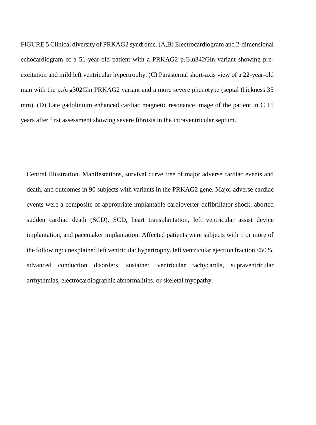FIGURE 5 Clinical diversity of PRKAG2 syndrome. (A,B) Electrocardiogram and 2-dimensional echocardiogram of a 51-year-old patient with a PRKAG2 p.Glu342Gln variant showing preexcitation and mild left ventricular hypertrophy. (C) Parasternal short-axis view of a 22-year-old man with the p.Arg302Gln PRKAG2 variant and a more severe phenotype (septal thickness 35 mm). (D) Late gadolinium enhanced cardiac magnetic resonance image of the patient in C 11 years after first assessment showing severe fibrosis in the intraventricular septum.

Central Illustration. Manifestations, survival curve free of major adverse cardiac events and death, and outcomes in 90 subjects with variants in the PRKAG2 gene. Major adverse cardiac events were a composite of appropriate implantable cardioverter-defibrillator shock, aborted sudden cardiac death (SCD), SCD, heart transplantation, left ventricular assist device implantation, and pacemaker implantation. Affected patients were subjects with 1 or more of the following: unexplained left ventricular hypertrophy, left ventricular ejection fraction <50%, advanced conduction disorders, sustained ventricular tachycardia, supraventricular arrhythmias, electrocardiographic abnormalities, or skeletal myopathy.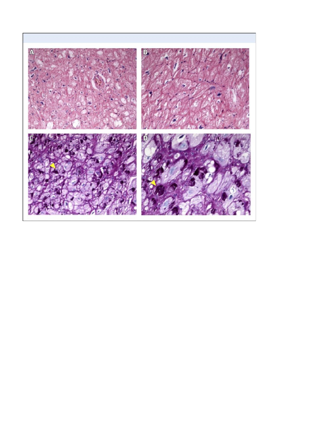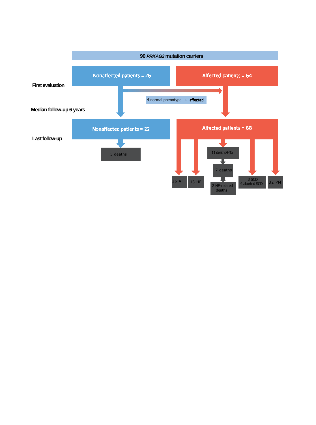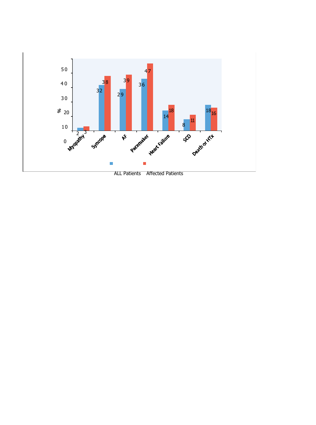

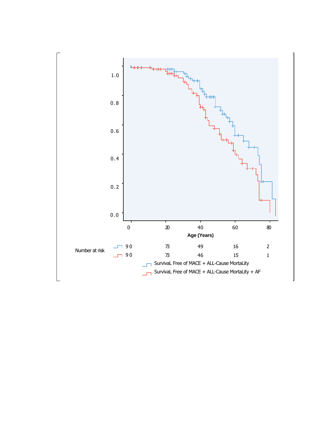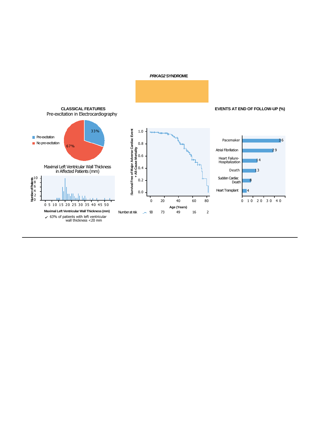#### *PRKAG2* **SYNDROME**



#### **CLASSICAL FEATURES EVENTS AT END OF FOLLOW-UP (%)**

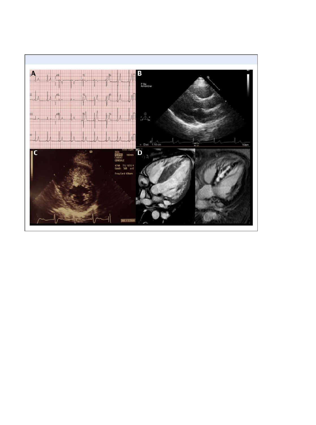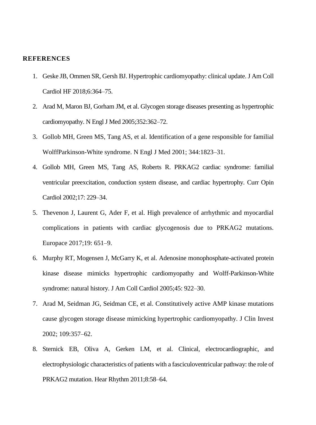### **REFERENCES**

- 1. Geske JB, Ommen SR, Gersh BJ. Hypertrophic cardiomyopathy: clinical update. J Am Coll Cardiol HF 2018;6:364–75.
- 2. Arad M, Maron BJ, Gorham JM, et al. Glycogen storage diseases presenting as hypertrophic cardiomyopathy. N Engl J Med 2005;352:362–72.
- 3. Gollob MH, Green MS, Tang AS, et al. Identification of a gene responsible for familial WolffParkinson-White syndrome. N Engl J Med 2001; 344:1823–31.
- 4. Gollob MH, Green MS, Tang AS, Roberts R. PRKAG2 cardiac syndrome: familial ventricular preexcitation, conduction system disease, and cardiac hypertrophy. Curr Opin Cardiol 2002;17: 229–34.
- 5. Thevenon J, Laurent G, Ader F, et al. High prevalence of arrhythmic and myocardial complications in patients with cardiac glycogenosis due to PRKAG2 mutations. Europace 2017;19: 651–9.
- 6. Murphy RT, Mogensen J, McGarry K, et al. Adenosine monophosphate-activated protein kinase disease mimicks hypertrophic cardiomyopathy and Wolff-Parkinson-White syndrome: natural history. J Am Coll Cardiol 2005;45: 922–30.
- 7. Arad M, Seidman JG, Seidman CE, et al. Constitutively active AMP kinase mutations cause glycogen storage disease mimicking hypertrophic cardiomyopathy. J Clin Invest 2002; 109:357–62.
- 8. Sternick EB, Oliva A, Gerken LM, et al. Clinical, electrocardiographic, and electrophysiologic characteristics of patients with a fasciculoventricular pathway: the role of PRKAG2 mutation. Hear Rhythm 2011;8:58–64.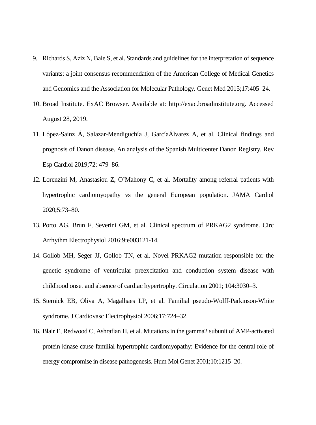- 9. Richards S, Aziz N, Bale S, et al. Standards and guidelines for the interpretation of sequence variants: a joint consensus recommendation of the American College of Medical Genetics and Genomics and the Association for Molecular Pathology. Genet Med 2015;17:405–24.
- 10. Broad Institute. ExAC Browser. Available at: [http://exac.broadinstitute.org.](http://exac.broadinstitute.org/) Accessed August 28, 2019.
- 11. López-Sainz Á, Salazar-Mendiguchía J, GarcíaÁlvarez A, et al. Clinical findings and prognosis of Danon disease. An analysis of the Spanish Multicenter Danon Registry. Rev Esp Cardiol 2019;72: 479–86.
- 12. Lorenzini M, Anastasiou Z, O'Mahony C, et al. Mortality among referral patients with hypertrophic cardiomyopathy vs the general European population. JAMA Cardiol 2020;5:73–80.
- 13. Porto AG, Brun F, Severini GM, et al. Clinical spectrum of PRKAG2 syndrome. Circ Arrhythm Electrophysiol 2016;9:e003121-14.
- 14. Gollob MH, Seger JJ, Gollob TN, et al. Novel PRKAG2 mutation responsible for the genetic syndrome of ventricular preexcitation and conduction system disease with childhood onset and absence of cardiac hypertrophy. Circulation 2001; 104:3030–3.
- 15. Sternick EB, Oliva A, Magalhaes LP, et al. Familial pseudo-Wolff-Parkinson-White syndrome. J Cardiovasc Electrophysiol 2006;17:724–32.
- 16. Blair E, Redwood C, Ashrafian H, et al. Mutations in the gamma2 subunit of AMP-activated protein kinase cause familial hypertrophic cardiomyopathy: Evidence for the central role of energy compromise in disease pathogenesis. Hum Mol Genet 2001;10:1215–20.